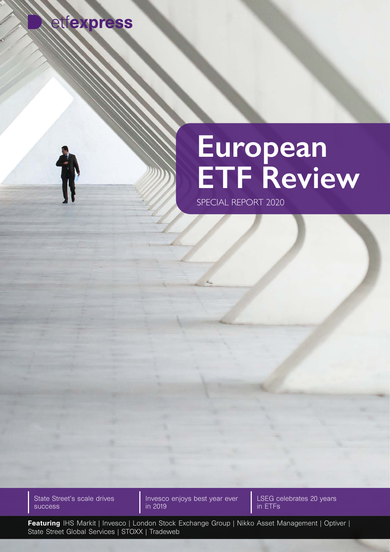

## **European ETF Review**

SPECIAL REPORT 2020

State Street's scale drives success

Invesco enjoys best year ever in 2019

LSEG celebrates 20 years in ETFs

Featuring IHS Markit | Invesco | London Stock Exchange Group | Nikko Asset Management | Optiver | State Street Global Services | STOXX | Tradeweb